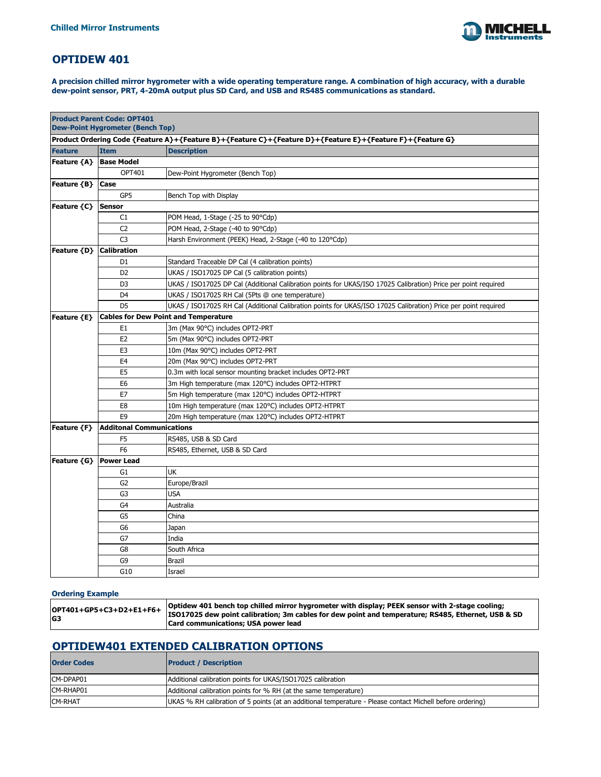

## **OPTIDEW 401**

| <b>Product Parent Code: OPT401</b><br><b>Dew-Point Hygrometer (Bench Top)</b>                             |                                             |                                                                                                                |  |
|-----------------------------------------------------------------------------------------------------------|---------------------------------------------|----------------------------------------------------------------------------------------------------------------|--|
| Product Ordering Code {Feature A}+{Feature B}+{Feature C}+{Feature D}+{Feature E}+{Feature F}+{Feature G} |                                             |                                                                                                                |  |
| <b>Feature</b>                                                                                            | <b>Item</b>                                 | <b>Description</b>                                                                                             |  |
| Feature {A}   Base Model                                                                                  |                                             |                                                                                                                |  |
|                                                                                                           | OPT401                                      | Dew-Point Hygrometer (Bench Top)                                                                               |  |
| Feature {B}                                                                                               | <b>Case</b>                                 |                                                                                                                |  |
|                                                                                                           | GP5                                         | Bench Top with Display                                                                                         |  |
| Feature {C}                                                                                               | Sensor                                      |                                                                                                                |  |
|                                                                                                           | C1                                          | POM Head, 1-Stage (-25 to 90°Cdp)                                                                              |  |
|                                                                                                           | C <sub>2</sub>                              | POM Head, 2-Stage (-40 to 90°Cdp)                                                                              |  |
|                                                                                                           | C <sub>3</sub>                              | Harsh Environment (PEEK) Head, 2-Stage (-40 to 120°Cdp)                                                        |  |
| Feature {D}                                                                                               | <b>Calibration</b>                          |                                                                                                                |  |
|                                                                                                           | D <sub>1</sub>                              | Standard Traceable DP Cal (4 calibration points)                                                               |  |
|                                                                                                           | D <sub>2</sub>                              | UKAS / ISO17025 DP Cal (5 calibration points)                                                                  |  |
|                                                                                                           | D <sub>3</sub>                              | UKAS / ISO17025 DP Cal (Additional Calibration points for UKAS/ISO 17025 Calibration) Price per point required |  |
|                                                                                                           | D <sub>4</sub>                              | UKAS / ISO17025 RH Cal (5Pts @ one temperature)                                                                |  |
|                                                                                                           | D <sub>5</sub>                              | UKAS / ISO17025 RH Cal (Additional Calibration points for UKAS/ISO 17025 Calibration) Price per point required |  |
| Feature {E}                                                                                               | <b>Cables for Dew Point and Temperature</b> |                                                                                                                |  |
|                                                                                                           | E <sub>1</sub>                              | 3m (Max 90°C) includes OPT2-PRT                                                                                |  |
|                                                                                                           | E <sub>2</sub>                              | 5m (Max 90°C) includes OPT2-PRT                                                                                |  |
|                                                                                                           | E <sub>3</sub>                              | 10m (Max 90°C) includes OPT2-PRT                                                                               |  |
|                                                                                                           | E <sub>4</sub>                              | 20m (Max 90°C) includes OPT2-PRT                                                                               |  |
|                                                                                                           | E <sub>5</sub>                              | 0.3m with local sensor mounting bracket includes OPT2-PRT                                                      |  |
|                                                                                                           | E <sub>6</sub>                              | 3m High temperature (max 120°C) includes OPT2-HTPRT                                                            |  |
|                                                                                                           | E7                                          | 5m High temperature (max 120°C) includes OPT2-HTPRT                                                            |  |
|                                                                                                           | E <sub>8</sub>                              | 10m High temperature (max 120°C) includes OPT2-HTPRT                                                           |  |
|                                                                                                           | E <sub>9</sub>                              | 20m High temperature (max 120°C) includes OPT2-HTPRT                                                           |  |
| Feature {F}                                                                                               | <b>Additonal Communications</b>             |                                                                                                                |  |
|                                                                                                           | F <sub>5</sub>                              | RS485, USB & SD Card                                                                                           |  |
|                                                                                                           | F <sub>6</sub>                              | RS485, Ethernet, USB & SD Card                                                                                 |  |
| Feature {G}                                                                                               | <b>Power Lead</b>                           |                                                                                                                |  |
|                                                                                                           | G <sub>1</sub>                              | <b>UK</b>                                                                                                      |  |
|                                                                                                           | G <sub>2</sub>                              | Europe/Brazil                                                                                                  |  |
|                                                                                                           | G <sub>3</sub>                              | <b>USA</b>                                                                                                     |  |
|                                                                                                           | G4                                          | Australia                                                                                                      |  |
|                                                                                                           | G <sub>5</sub>                              | China                                                                                                          |  |
|                                                                                                           | G <sub>6</sub>                              | Japan                                                                                                          |  |
|                                                                                                           | G7                                          | India                                                                                                          |  |
|                                                                                                           | G8                                          | South Africa                                                                                                   |  |
|                                                                                                           | G9                                          | <b>Brazil</b>                                                                                                  |  |
|                                                                                                           | G10                                         | Israel                                                                                                         |  |

| $\sim$ 0.07401 $\sim$ 05 $\sim$ 07 $\sim$ 1.54 $\sim$ 54 $\sim$ 0ptidew 401 bench top chilled mirror hygrometer with display; PEEK sensor with 2-stage cooling; |
|-----------------------------------------------------------------------------------------------------------------------------------------------------------------|
|                                                                                                                                                                 |

|                | $\left $ OPT401+GP5+C3+D2+E1+F6+ $\left  \right $                                                  |
|----------------|----------------------------------------------------------------------------------------------------|
|                | ISO17025 dew point calibration; 3m cables for dew point and temperature; RS485, Ethernet, USB & SD |
| G <sub>3</sub> |                                                                                                    |
|                | <b>Card communications; USA power lead</b>                                                         |
|                |                                                                                                    |

**A precision chilled mirror hygrometer with a wide operating temperature range. A combination of high accuracy, with a durable dew-point sensor, PRT, 4-20mA output plus SD Card, and USB and RS485 communications as standard.**

| <b>Order Codes</b> | <b>Product / Description</b>                                                                              |
|--------------------|-----------------------------------------------------------------------------------------------------------|
| CM-DPAP01          | Additional calibration points for UKAS/ISO17025 calibration                                               |
| CM-RHAP01          | Additional calibration points for % RH (at the same temperature)                                          |
| <b>ICM-RHAT</b>    | UKAS % RH calibration of 5 points (at an additional temperature - Please contact Michell before ordering) |
|                    |                                                                                                           |

#### **Ordering Example**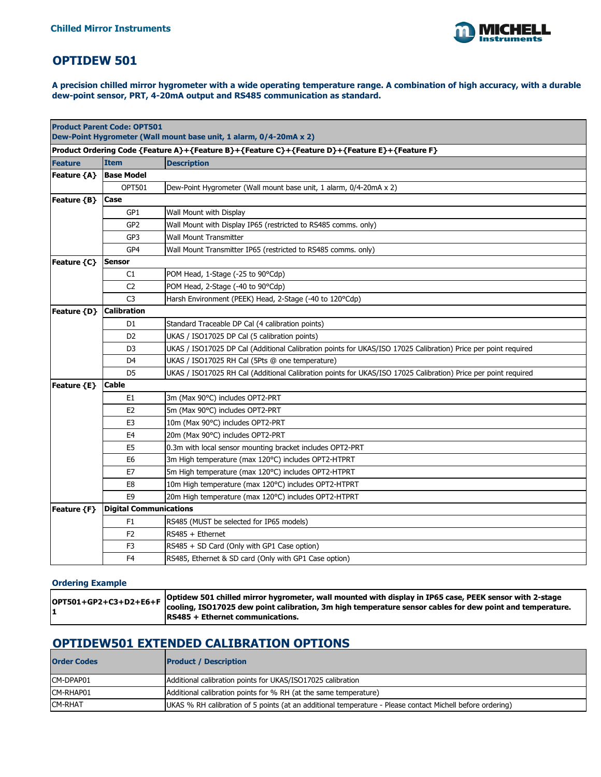

## **OPTIDEW 501**

**A precision chilled mirror hygrometer with a wide operating temperature range. A combination of high accuracy, with a durable dew-point sensor, PRT, 4-20mA output and RS485 communication as standard.**

| <b>Product Parent Code: OPT501</b><br>Dew-Point Hygrometer (Wall mount base unit, 1 alarm, 0/4-20mA x 2) |                               |                                                                                                                |
|----------------------------------------------------------------------------------------------------------|-------------------------------|----------------------------------------------------------------------------------------------------------------|
|                                                                                                          |                               | Product Ordering Code {Feature A}+{Feature B}+{Feature C}+{Feature D}+{Feature E}+{Feature F}                  |
| <b>Feature</b>                                                                                           | <b>Item</b>                   | <b>Description</b>                                                                                             |
| <b>Feature {A}</b>                                                                                       | <b>Base Model</b>             |                                                                                                                |
|                                                                                                          | <b>OPT501</b>                 | Dew-Point Hygrometer (Wall mount base unit, 1 alarm, 0/4-20mA x 2)                                             |
| Feature {B}                                                                                              | <b>Case</b>                   |                                                                                                                |
|                                                                                                          | GP1                           | Wall Mount with Display                                                                                        |
|                                                                                                          | GP <sub>2</sub>               | Wall Mount with Display IP65 (restricted to RS485 comms. only)                                                 |
|                                                                                                          | GP3                           | <b>Wall Mount Transmitter</b>                                                                                  |
|                                                                                                          | GP4                           | Wall Mount Transmitter IP65 (restricted to RS485 comms. only)                                                  |
| Feature {C}                                                                                              | <b>Sensor</b>                 |                                                                                                                |
|                                                                                                          | C1                            | POM Head, 1-Stage (-25 to 90°Cdp)                                                                              |
|                                                                                                          | C <sub>2</sub>                | POM Head, 2-Stage (-40 to 90°Cdp)                                                                              |
|                                                                                                          | C <sub>3</sub>                | Harsh Environment (PEEK) Head, 2-Stage (-40 to 120°Cdp)                                                        |
| Feature {D}                                                                                              | <b>Calibration</b>            |                                                                                                                |
|                                                                                                          | D <sub>1</sub>                | Standard Traceable DP Cal (4 calibration points)                                                               |
|                                                                                                          | D <sub>2</sub>                | UKAS / ISO17025 DP Cal (5 calibration points)                                                                  |
|                                                                                                          | D <sub>3</sub>                | UKAS / ISO17025 DP Cal (Additional Calibration points for UKAS/ISO 17025 Calibration) Price per point required |
|                                                                                                          | D <sub>4</sub>                | UKAS / ISO17025 RH Cal (5Pts @ one temperature)                                                                |
|                                                                                                          | D <sub>5</sub>                | UKAS / ISO17025 RH Cal (Additional Calibration points for UKAS/ISO 17025 Calibration) Price per point required |
| Feature {E}                                                                                              | <b>Cable</b>                  |                                                                                                                |
|                                                                                                          | E <sub>1</sub>                | 3m (Max 90°C) includes OPT2-PRT                                                                                |
|                                                                                                          | E <sub>2</sub>                | 5m (Max 90°C) includes OPT2-PRT                                                                                |
|                                                                                                          | E <sub>3</sub>                | 10m (Max 90°C) includes OPT2-PRT                                                                               |
|                                                                                                          | E <sub>4</sub>                | 20m (Max 90°C) includes OPT2-PRT                                                                               |
|                                                                                                          | E <sub>5</sub>                | 0.3m with local sensor mounting bracket includes OPT2-PRT                                                      |
|                                                                                                          | E <sub>6</sub>                | 3m High temperature (max 120°C) includes OPT2-HTPRT                                                            |
|                                                                                                          | E7                            | 5m High temperature (max 120°C) includes OPT2-HTPRT                                                            |
|                                                                                                          | E8                            | 10m High temperature (max 120°C) includes OPT2-HTPRT                                                           |
|                                                                                                          | E <sub>9</sub>                | 20m High temperature (max 120°C) includes OPT2-HTPRT                                                           |
| Feature ${F}$                                                                                            | <b>Digital Communications</b> |                                                                                                                |
|                                                                                                          | F <sub>1</sub>                | RS485 (MUST be selected for IP65 models)                                                                       |
|                                                                                                          | F <sub>2</sub>                | RS485 + Ethernet                                                                                               |
|                                                                                                          | F <sub>3</sub>                | RS485 + SD Card (Only with GP1 Case option)                                                                    |
|                                                                                                          | F <sub>4</sub>                | RS485, Ethernet & SD card (Only with GP1 Case option)                                                          |

#### **Ordering Example**

| OPT501+GP2+C3+D2+E6+F Optidew 501 chilled mirror hygrometer, wall mounted with display in IP65 case, PEEK sensor with 2-stage<br>cooling, ISO17025 dew point calibration, 3m high temperature sensor cables for dew point and temperature. |
|--------------------------------------------------------------------------------------------------------------------------------------------------------------------------------------------------------------------------------------------|
| $ RS485 + Ethernet$ communications.                                                                                                                                                                                                        |

# **OPTIDEW501 EXTENDED CALIBRATION OPTIONS**

| <b>Order Codes</b> | <b>Product / Description</b>                                                                              |
|--------------------|-----------------------------------------------------------------------------------------------------------|
| CM-DPAP01          | Additional calibration points for UKAS/ISO17025 calibration                                               |
| CM-RHAP01          | Additional calibration points for % RH (at the same temperature)                                          |
| <b>CM-RHAT</b>     | UKAS % RH calibration of 5 points (at an additional temperature - Please contact Michell before ordering) |